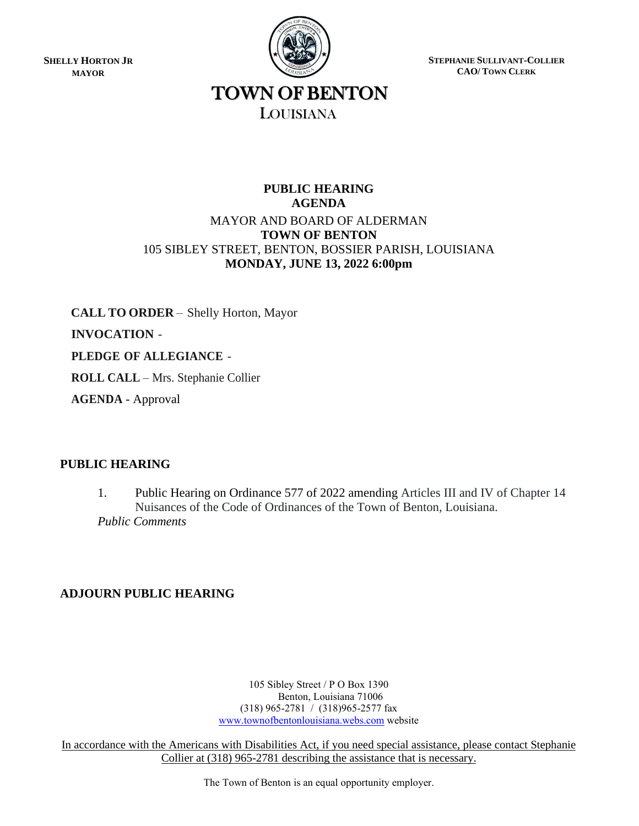**SHELLY HORTON JR MAYOR**



**STEPHANIE SULLIVANT-COLLIER CAO/ TOWN CLERK**

# TOWN OF BENTON LOUISIANA

# **PUBLIC HEARING AGENDA** MAYOR AND BOARD OF ALDERMAN **TOWN OF BENTON** 105 SIBLEY STREET, BENTON, BOSSIER PARISH, LOUISIANA **MONDAY, JUNE 13, 2022 6:00pm**

**CALL TO ORDER** – Shelly Horton, Mayor **INVOCATION** -

**PLEDGE OF ALLEGIANCE** -

**ROLL CALL** – Mrs. Stephanie Collier

**AGENDA** - Approval

# **PUBLIC HEARING**

1. Public Hearing on Ordinance 577 of 2022 amending Articles III and IV of Chapter 14 Nuisances of the Code of Ordinances of the Town of Benton, Louisiana. *Public Comments*

# **ADJOURN PUBLIC HEARING**

105 Sibley Street / P O Box 1390 Benton, Louisiana 71006 (318) 965-2781 / (318)965-2577 fax [www.townofbentonlouisiana.webs.com](http://www.townofbentonlouisiana.webs.com/) website

In accordance with the Americans with Disabilities Act, if you need special assistance, please contact Stephanie Collier at (318) 965-2781 describing the assistance that is necessary.

The Town of Benton is an equal opportunity employer.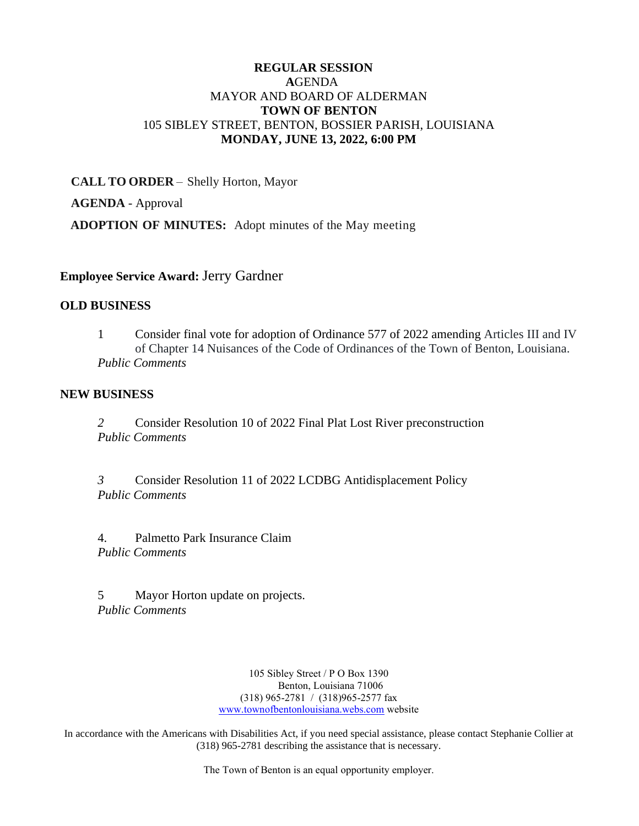## **REGULAR SESSION A**GENDA MAYOR AND BOARD OF ALDERMAN **TOWN OF BENTON** 105 SIBLEY STREET, BENTON, BOSSIER PARISH, LOUISIANA **MONDAY, JUNE 13, 2022, 6:00 PM**

**CALL TO ORDER** – Shelly Horton, Mayor **AGENDA** - Approval **ADOPTION OF MINUTES:** Adopt minutes of the May meeting

#### **Employee Service Award:** Jerry Gardner

#### **OLD BUSINESS**

1 Consider final vote for adoption of Ordinance 577 of 2022 amending Articles III and IV of Chapter 14 Nuisances of the Code of Ordinances of the Town of Benton, Louisiana. *Public Comments*

#### **NEW BUSINESS**

*2* Consider Resolution 10 of 2022 Final Plat Lost River preconstruction *Public Comments*

*3* Consider Resolution 11 of 2022 LCDBG Antidisplacement Policy *Public Comments*

4. Palmetto Park Insurance Claim *Public Comments* 

5 Mayor Horton update on projects. *Public Comments*

> 105 Sibley Street / P O Box 1390 Benton, Louisiana 71006 (318) 965-2781 / (318)965-2577 fax [www.townofbentonlouisiana.webs.com](http://www.townofbentonlouisiana.webs.com/) website

In accordance with the Americans with Disabilities Act, if you need special assistance, please contact Stephanie Collier at (318) 965-2781 describing the assistance that is necessary.

The Town of Benton is an equal opportunity employer.